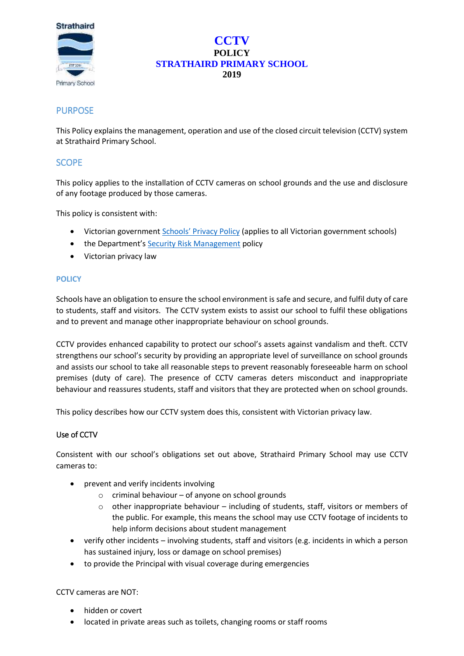

# **CCTV POLICY STRATHAIRD PRIMARY SCHOOL 2019**

# **PURPOSE**

This Policy explains the management, operation and use of the closed circuit television (CCTV) system at Strathaird Primary School.

# **SCOPE**

This policy applies to the installation of CCTV cameras on school grounds and the use and disclosure of any footage produced by those cameras.

This policy is consistent with:

- Victorian government [Schools' Privacy Policy](https://www.education.vic.gov.au/Pages/schoolsprivacypolicy.aspx) (applies to all Victorian government schools)
- the Department's [Security Risk Management](https://www.education.vic.gov.au/school/principals/spag/management/pages/security.aspx) policy
- Victorian privacy law

# **POLICY**

Schools have an obligation to ensure the school environment is safe and secure, and fulfil duty of care to students, staff and visitors. The CCTV system exists to assist our school to fulfil these obligations and to prevent and manage other inappropriate behaviour on school grounds.

CCTV provides enhanced capability to protect our school's assets against vandalism and theft. CCTV strengthens our school's security by providing an appropriate level of surveillance on school grounds and assists our school to take all reasonable steps to prevent reasonably foreseeable harm on school premises (duty of care). The presence of CCTV cameras deters misconduct and inappropriate behaviour and reassures students, staff and visitors that they are protected when on school grounds.

This policy describes how our CCTV system does this, consistent with Victorian privacy law.

# Use of CCTV

Consistent with our school's obligations set out above, Strathaird Primary School may use CCTV cameras to:

- prevent and verify incidents involving
	- o criminal behaviour of anyone on school grounds
	- o other inappropriate behaviour including of students, staff, visitors or members of the public. For example, this means the school may use CCTV footage of incidents to help inform decisions about student management
- verify other incidents involving students, staff and visitors (e.g. incidents in which a person has sustained injury, loss or damage on school premises)
- to provide the Principal with visual coverage during emergencies

### CCTV cameras are NOT:

- hidden or covert
- located in private areas such as toilets, changing rooms or staff rooms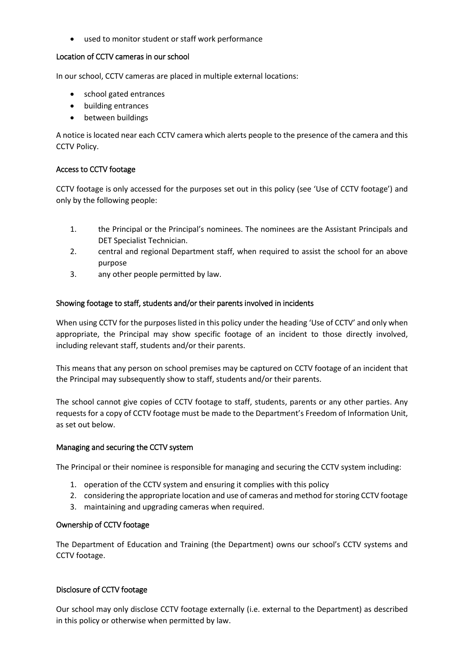• used to monitor student or staff work performance

### Location of CCTV cameras in our school

In our school, CCTV cameras are placed in multiple external locations:

- school gated entrances
- building entrances
- between buildings

A notice is located near each CCTV camera which alerts people to the presence of the camera and this CCTV Policy.

# Access to CCTV footage

CCTV footage is only accessed for the purposes set out in this policy (see 'Use of CCTV footage') and only by the following people:

- 1. the Principal or the Principal's nominees. The nominees are the Assistant Principals and DET Specialist Technician.
- 2. central and regional Department staff, when required to assist the school for an above purpose
- 3. any other people permitted by law.

# Showing footage to staff, students and/or their parents involved in incidents

When using CCTV for the purposes listed in this policy under the heading 'Use of CCTV' and only when appropriate, the Principal may show specific footage of an incident to those directly involved, including relevant staff, students and/or their parents.

This means that any person on school premises may be captured on CCTV footage of an incident that the Principal may subsequently show to staff, students and/or their parents.

The school cannot give copies of CCTV footage to staff, students, parents or any other parties. Any requests for a copy of CCTV footage must be made to the Department's Freedom of Information Unit, as set out below.

### Managing and securing the CCTV system

The Principal or their nominee is responsible for managing and securing the CCTV system including:

- 1. operation of the CCTV system and ensuring it complies with this policy
- 2. considering the appropriate location and use of cameras and method for storing CCTV footage
- 3. maintaining and upgrading cameras when required.

### Ownership of CCTV footage

The Department of Education and Training (the Department) owns our school's CCTV systems and CCTV footage.

### Disclosure of CCTV footage

Our school may only disclose CCTV footage externally (i.e. external to the Department) as described in this policy or otherwise when permitted by law.